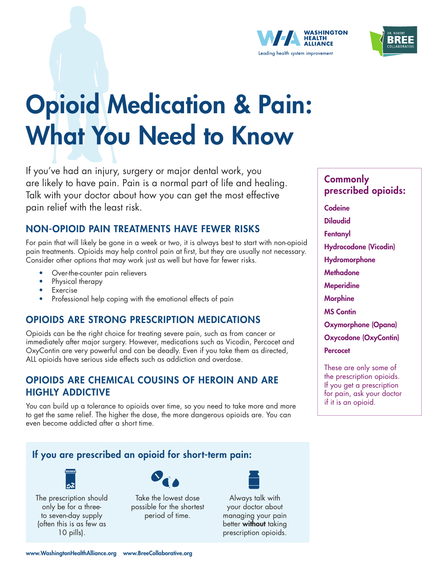



# Opioid Medication & Pain: What You Need to Know

If you've had an injury, surgery or major dental work, you are likely to have pain. Pain is a normal part of life and healing. Talk with your doctor about how you can get the most effective pain relief with the least risk.

#### NON-OPIOID PAIN TREATMENTS HAVE FEWER RISKS

For pain that will likely be gone in a week or two, it is always best to start with non-opioid pain treatments. Opioids may help control pain at first, but they are usually not necessary. Consider other options that may work just as well but have far fewer risks.

- Over-the-counter pain relievers
- Physical therapy
- **Exercise**
- Professional help coping with the emotional effects of pain

#### OPIOIDS ARE STRONG PRESCRIPTION MEDICATIONS

Opioids can be the right choice for treating severe pain, such as from cancer or immediately after major surgery. However, medications such as Vicodin, Percocet and OxyContin are very powerful and can be deadly. Even if you take them as directed, ALL opioids have serious side effects such as addiction and overdose.

#### OPIOIDS ARE CHEMICAL COUSINS OF HEROIN AND ARE HIGHLY ADDICTIVE

You can build up a tolerance to opioids over time, so you need to take more and more to get the same relief. The higher the dose, the more dangerous opioids are. You can even become addicted after a short time.

### If you are prescribed an opioid for short-term pain:



The prescription should only be for a threeto seven-day supply (often this is as few as 10 pills).



Take the lowest dose possible for the shortest period of time.



Always talk with your doctor about managing your pain better **without** taking prescription opioids.

#### **Commonly** prescribed opioids:

Codeine Dilaudid **Fentanyl** Hydrocodone (Vicodin) Hydromorphone **Methadone Meperidine Morphine** MS Contin Oxymorphone (Opana) Oxycodone (OxyContin) **Percocet** These are only some of

the prescription opioids. If you get a prescription for pain, ask your doctor if it is an opioid.